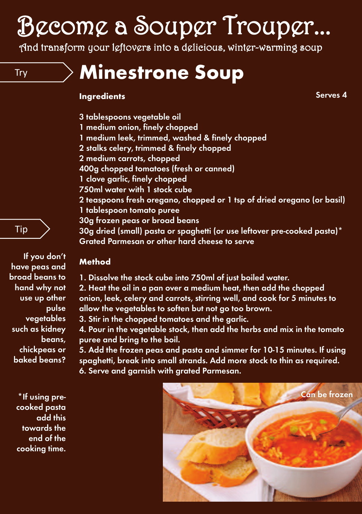# Become a Souper Trouper...

And transform your leftovers into a delicious, winter-warming soup

# Try **Minestrone Soup**

#### **Ingredients**

**Serves 4**

- **3 tablespoons vegetable oil**
- **1 medium onion, finely chopped**
- **1 medium leek, trimmed, washed & finely chopped**
- **2 stalks celery, trimmed & finely chopped**
- **2 medium carrots, chopped**
- **400g chopped tomatoes (fresh or canned)**
- **1 clove garlic, finely chopped**
- **750ml water with 1 stock cube**
- **2 teaspoons fresh oregano, chopped or 1 tsp of dried oregano (or basil) 1 tablespoon tomato puree**
- **30g frozen peas or broad beans**
- **30g dried (small) pasta or spaghetti (or use leftover pre-cooked pasta)\* Grated Parmesan or other hard cheese to serve**

### **Method**

- **1. Dissolve the stock cube into 750ml of just boiled water. 2. Heat the oil in a pan over a medium heat, then add the chopped onion, leek, celery and carrots, stirring well, and cook for 5 minutes to allow the vegetables to soften but not go too brown. 3. Stir in the chopped tomatoes and the garlic.**
	- **4. Pour in the vegetable stock, then add the herbs and mix in the tomato puree and bring to the boil.**

**5. Add the frozen peas and pasta and simmer for 10-15 minutes. If using spaghetti, break into small strands. Add more stock to thin as required. 6. Serve and garnish with grated Parmesan.**





**have peas and broad beans to hand why not use up other pulse vegetables such as kidney beans, chickpeas or baked beans?**

**If you don't**

Tip